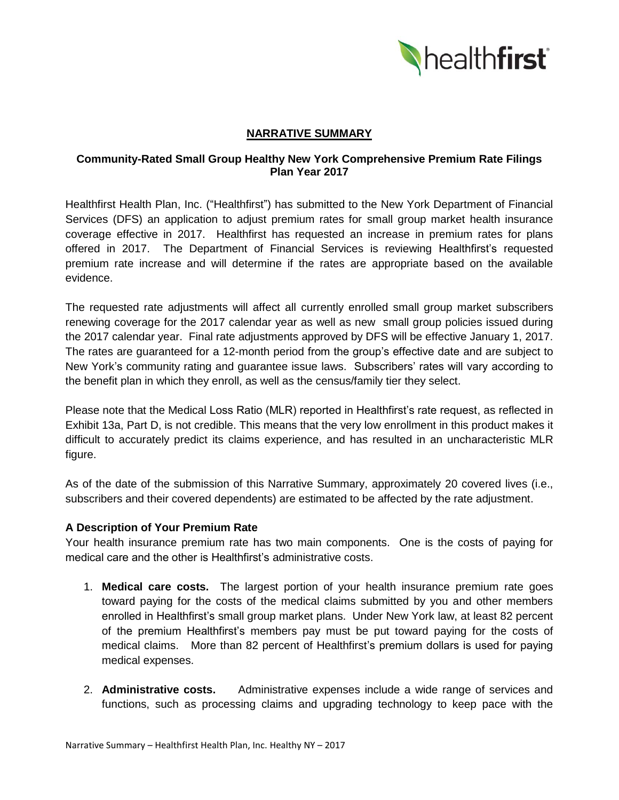

# **NARRATIVE SUMMARY**

# **Community-Rated Small Group Healthy New York Comprehensive Premium Rate Filings Plan Year 2017**

Healthfirst Health Plan, Inc. ("Healthfirst") has submitted to the New York Department of Financial Services (DFS) an application to adjust premium rates for small group market health insurance coverage effective in 2017. Healthfirst has requested an increase in premium rates for plans offered in 2017. The Department of Financial Services is reviewing Healthfirst's requested premium rate increase and will determine if the rates are appropriate based on the available evidence.

The requested rate adjustments will affect all currently enrolled small group market subscribers renewing coverage for the 2017 calendar year as well as new small group policies issued during the 2017 calendar year. Final rate adjustments approved by DFS will be effective January 1, 2017. The rates are guaranteed for a 12-month period from the group's effective date and are subject to New York's community rating and guarantee issue laws. Subscribers' rates will vary according to the benefit plan in which they enroll, as well as the census/family tier they select.

Please note that the Medical Loss Ratio (MLR) reported in Healthfirst's rate request, as reflected in Exhibit 13a, Part D, is not credible. This means that the very low enrollment in this product makes it difficult to accurately predict its claims experience, and has resulted in an uncharacteristic MLR figure.

As of the date of the submission of this Narrative Summary, approximately 20 covered lives (i.e., subscribers and their covered dependents) are estimated to be affected by the rate adjustment.

# **A Description of Your Premium Rate**

Your health insurance premium rate has two main components. One is the costs of paying for medical care and the other is Healthfirst's administrative costs.

- 1. **Medical care costs.** The largest portion of your health insurance premium rate goes toward paying for the costs of the medical claims submitted by you and other members enrolled in Healthfirst's small group market plans. Under New York law, at least 82 percent of the premium Healthfirst's members pay must be put toward paying for the costs of medical claims. More than 82 percent of Healthfirst's premium dollars is used for paying medical expenses.
- 2. **Administrative costs.** Administrative expenses include a wide range of services and functions, such as processing claims and upgrading technology to keep pace with the